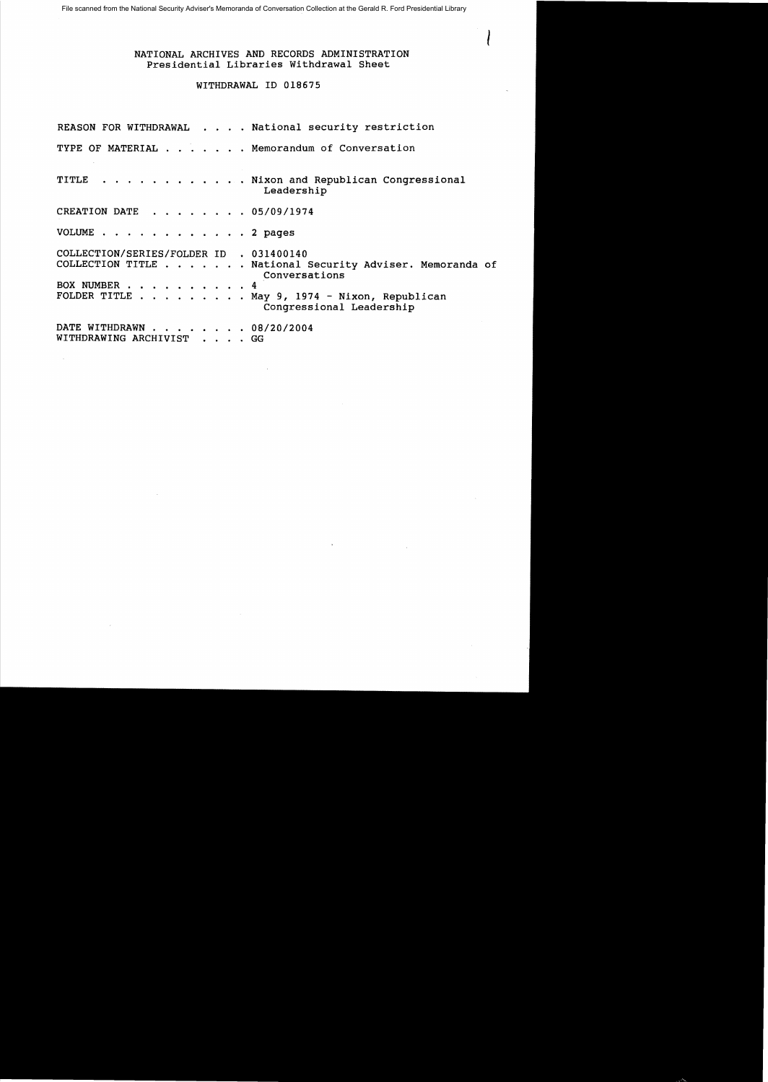## NATIONAL ARCHIVES AND RECORDS ADMINISTRATION Presidential Libraries Withdrawal Sheet

I

## WITHDRAWAL ID 018675

|                                                         | REASON FOR WITHDRAWAL National security restriction                                                                                                   |
|---------------------------------------------------------|-------------------------------------------------------------------------------------------------------------------------------------------------------|
|                                                         | TYPE OF MATERIAL Memorandum of Conversation                                                                                                           |
|                                                         | TITLE Nixon and Republican Congressional<br>Leadership                                                                                                |
| CREATION DATE 05/09/1974                                |                                                                                                                                                       |
| VOLUME 2 pages                                          |                                                                                                                                                       |
| COLLECTION/SERIES/FOLDER ID . 031400140<br>BOX NUMBER 4 | COLLECTION TITLE National Security Adviser. Memoranda of<br>Conversations<br>FOLDER TITLE May 9, 1974 - Nixon, Republican<br>Congressional Leadership |
| DATE WITHDRAWN 08/20/2004<br>WITHDRAWING ARCHIVIST GG   |                                                                                                                                                       |